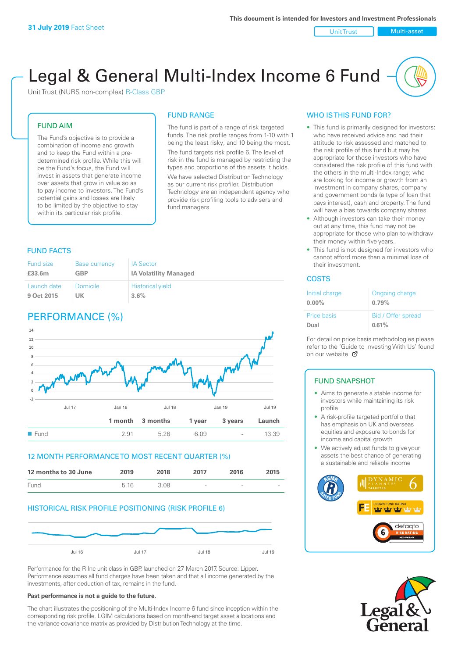Unit Trust Multi-asset

# Legal & General Multi-Index Income 6 Fund

Unit Trust (NURS non-complex) R-Class GBP

#### FUND AIM

The Fund's objective is to provide a combination of income and growth and to keep the Fund within a predetermined risk profile. While this will be the Fund's focus, the Fund will invest in assets that generate income over assets that grow in value so as to pay income to investors. The Fund's potential gains and losses are likely to be limited by the objective to stay within its particular risk profile.

#### FUND RANGE

The fund is part of a range of risk targeted funds. The risk profile ranges from 1-10 with 1 being the least risky, and 10 being the most. The fund targets risk profile 6. The level of risk in the fund is managed by restricting the types and proportions of the assets it holds. We have selected Distribution Technology as our current risk profiler. Distribution Technology are an independent agency who provide risk profiling tools to advisers and fund managers.

### FUND FACTS

| <b>Fund size</b> | <b>Base currency</b> | <b>IA Sector</b>             |
|------------------|----------------------|------------------------------|
| £33.6m           | GBP                  | <b>IA Volatility Managed</b> |
| Launch date      | <b>Domicile</b>      | <b>Historical yield</b>      |
| 9 Oct 2015       | UK                   | 3.6%                         |

# PERFORMANCE (%)



#### 12 MONTH PERFORMANCE TO MOST RECENT QUARTER (%)



#### HISTORICAL RISK PROFILE POSITIONING (RISK PROFILE 6)



Performance for the R Inc unit class in GBP, launched on 27 March 2017. Source: Lipper. Performance assumes all fund charges have been taken and that all income generated by the investments, after deduction of tax, remains in the fund.

#### **Past performance is not a guide to the future.**

The chart illustrates the positioning of the Multi-Index Income 6 fund since inception within the corresponding risk profile. LGIM calculations based on month-end target asset allocations and the variance-covariance matrix as provided by Distribution Technology at the time.

#### WHO IS THIS FUND FOR?

- This fund is primarily designed for investors: who have received advice and had their attitude to risk assessed and matched to the risk profile of this fund but may be appropriate for those investors who have considered the risk profile of this fund with the others in the multi-Index range; who are looking for income or growth from an investment in company shares, company and government bonds (a type of loan that pays interest), cash and property. The fund will have a bias towards company shares.
- Although investors can take their money out at any time, this fund may not be appropriate for those who plan to withdraw their money within five years.
- This fund is not designed for investors who cannot afford more than a minimal loss of their investment.

#### **COSTS**

| Initial charge<br>$0.00\%$ | Ongoing charge<br>0.79% |
|----------------------------|-------------------------|
| <b>Price basis</b>         | Bid / Offer spread      |
| Dual                       | 0.61%                   |

For detail on price basis methodologies please refer to the 'Guide to Investing With Us' found on our website. [7]

## FUND SNAPSHOT

- Aims to generate a stable income for investors while maintaining its risk profile
- A risk-profile targeted portfolio that has emphasis on UK and overseas equities and exposure to bonds for income and capital growth
- We actively adjust funds to give your assets the best chance of generating a sustainable and reliable income



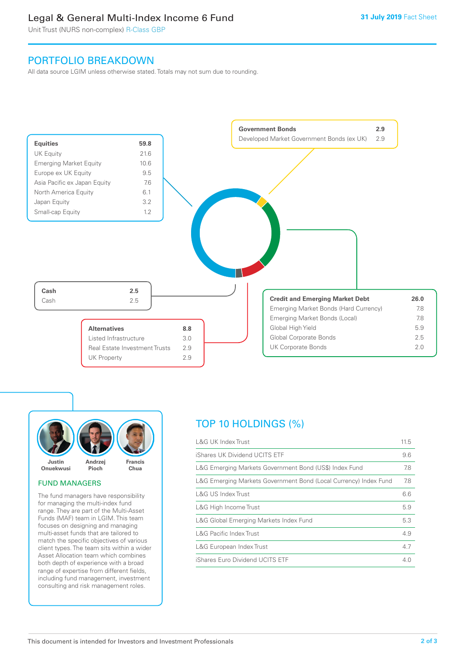## Legal & General Multi-Index Income 6 Fund

Unit Trust (NURS non-complex) R-Class GBP

## PORTFOLIO BREAKDOWN

All data source LGIM unless otherwise stated. Totals may not sum due to rounding.





#### FUND MANAGERS

The fund managers have responsibility for managing the multi-index fund range. They are part of the Multi-Asset Funds (MAF) team in LGIM. This team focuses on designing and managing multi-asset funds that are tailored to match the specific objectives of various client types. The team sits within a wider Asset Allocation team which combines both depth of experience with a broad range of expertise from different fields, including fund management, investment consulting and risk management roles.

# TOP 10 HOLDINGS (%)

| <b>L&amp;G UK Index Trust</b>                                    | 11.5 |
|------------------------------------------------------------------|------|
| iShares UK Dividend UCITS ETF                                    | 9.6  |
| L&G Emerging Markets Government Bond (US\$) Index Fund           | 7.8  |
| L&G Emerging Markets Government Bond (Local Currency) Index Fund | 7.8  |
| <b>L&amp;G US Index Trust</b>                                    | 6.6  |
| L&G High Income Trust                                            | 5.9  |
| L&G Global Emerging Markets Index Fund                           | 5.3  |
| <b>L&amp;G Pacific Index Trust</b>                               | 4.9  |
| L&G European Index Trust                                         | 4.7  |
| iShares Euro Dividend UCITS ETF                                  | 4 O  |